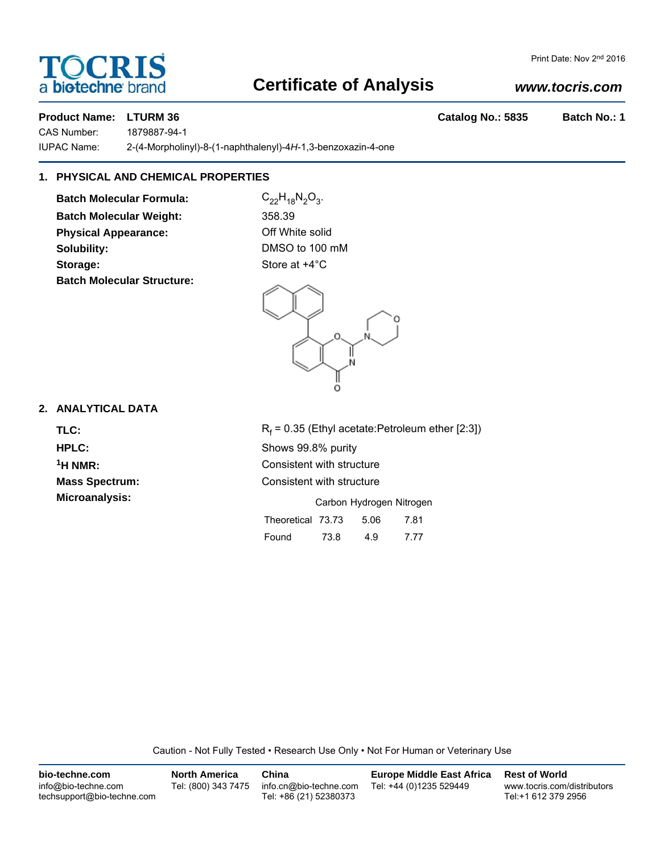# a **bio-techne** brand

### **Certificate of Analysis**

#### *www.tocris.com*

**Product Name: LTURM 36 Catalog No.: 5835 Batch No.: 1** 

CAS Number: 1879887-94-1

IUPAC Name: 2-(4-Morpholinyl)-8-(1-naphthalenyl)-4*H*-1,3-benzoxazin-4-one

### **1. PHYSICAL AND CHEMICAL PROPERTIES**

**Batch Molecular Formula:** C<sub>22</sub>H<sub>18</sub>N<sub>2</sub>O<sub>3</sub>. **Batch Molecular Weight:** 358.39 **Physical Appearance:** Off White solid **Solubility:** DMSO to 100 mM **Storage:** Store at  $+4^{\circ}$ C **Batch Molecular Structure:**



#### **2. ANALYTICAL DATA**

TLC: R<sub>f</sub>

 $R_f$  = 0.35 (Ethyl acetate:Petroleum ether [2:3]) **HPLC:** Shows 99.8% purity **1H NMR:** Consistent with structure **Mass Spectrum:** Consistent with structure **Microanalysis:** Microanalysis: **Carbon Hydrogen Nitrogen** Theoretical 73.73 5.06 7.81

| Theoretical 75.75 |      | OU.C | 1.01 |  |
|-------------------|------|------|------|--|
| Found             | 73.8 | 4.9  | 7.77 |  |

Caution - Not Fully Tested • Research Use Only • Not For Human or Veterinary Use

| bio-techne.com                                    | <b>North America</b> | China                                            | <b>Europe Middle East Africa</b> | <b>Rest of World</b>                               |
|---------------------------------------------------|----------------------|--------------------------------------------------|----------------------------------|----------------------------------------------------|
| info@bio-techne.com<br>techsupport@bio-techne.com | Tel: (800) 343 7475  | info.cn@bio-techne.com<br>Tel: +86 (21) 52380373 | Tel: +44 (0)1235 529449          | www.tocris.com/distributors<br>Tel:+1 612 379 2956 |